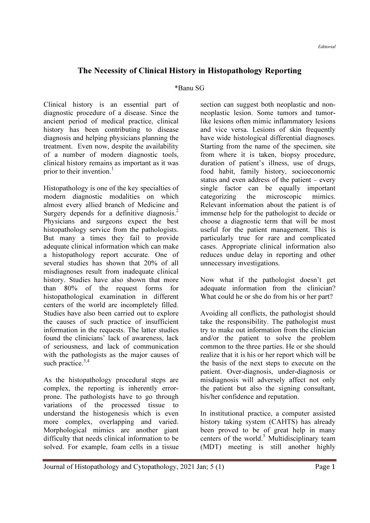## The Necessity of Clinical History in Histopathology Reporting

## \*Banu SG

Clinical history is an essential part of diagnostic procedure of a disease. Since the ancient period of medical practice, clinical history has been contributing to disease diagnosis and helping physicians planning the treatment. Even now, despite the availability of a number of modern diagnostic tools, clinical history remains as important as it was prior to their invention.<sup>1</sup>

Histopathology is one of the key specialties of modern diagnostic modalities on which almost every allied branch of Medicine and Surgery depends for a definitive diagnosis.<sup>2</sup> Physicians and surgeons expect the best histopathology service from the pathologists. But many a times they fail to provide adequate clinical information which can make a histopathology report accurate. One of several studies has shown that 20% of all misdiagnoses result from inadequate clinical history. Studies have also shown that more than 80% of the request forms for histopathological examination in different centers of the world are incompletely filled. Studies have also been carried out to explore the causes of such practice of insufficient information in the requests. The latter studies found the clinicians' lack of awareness, lack of seriousness, and lack of communication with the pathologists as the major causes of such practice.<sup>3,4</sup>

As the histopathology procedural steps are complex, the reporting is inherently errorprone. The pathologists have to go through variations of the processed tissue to understand the histogenesis which is even more complex, overlapping and varied. Morphological mimics are another giant difficulty that needs clinical information to be solved. For example, foam cells in a tissue

section can suggest both neoplastic and nonneoplastic lesion. Some tumors and tumorlike lesions often mimic inflammatory lesions and vice versa. Lesions of skin frequently have wide histological differential diagnoses. Starting from the name of the specimen, site from where it is taken, biopsy procedure, duration of patient's illness, use of drugs, food habit, family history, socioeconomic status and even address of the patient – every single factor can be equally important categorizing the microscopic mimics. Relevant information about the patient is of immense help for the pathologist to decide or choose a diagnostic term that will be most useful for the patient management. This is particularly true for rare and complicated cases. Appropriate clinical information also reduces undue delay in reporting and other unnecessary investigations.

Now what if the pathologist doesn't get adequate information from the clinician? What could he or she do from his or her part?

Avoiding all conflicts, the pathologist should take the responsibility. The pathologist must try to make out information from the clinician and/or the patient to solve the problem common to the three parties. He or she should realize that it is his or her report which will be the basis of the next steps to execute on the patient. Over-diagnosis, under-diagnosis or misdiagnosis will adversely affect not only the patient but also the signing consultant, his/her confidence and reputation.

In institutional practice, a computer assisted history taking system (CAHTS) has already been proved to be of great help in many centers of the world.<sup>5</sup> Multidisciplinary team (MDT) meeting is still another highly

Journal of Histopathology and Cytopathology, 2021 Jan; 5 (1) Page 1